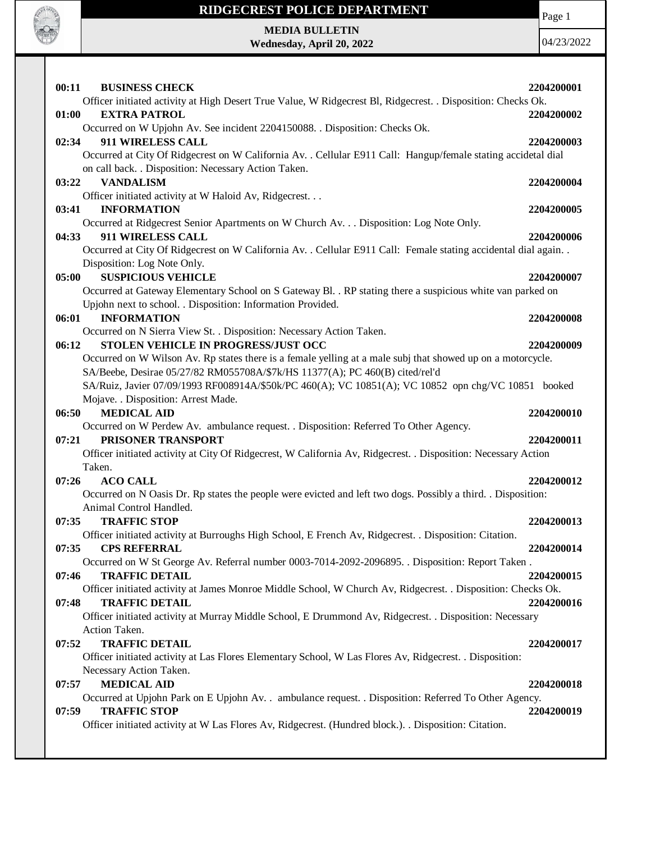

Page 1

**MEDIA BULLETIN Wednesday, April 20, 2022**

| 00:11<br><b>BUSINESS CHECK</b>                                                                                                                                        | 2204200001 |
|-----------------------------------------------------------------------------------------------------------------------------------------------------------------------|------------|
| Officer initiated activity at High Desert True Value, W Ridgecrest Bl, Ridgecrest. . Disposition: Checks Ok.                                                          |            |
| <b>EXTRA PATROL</b><br>01:00                                                                                                                                          | 2204200002 |
| Occurred on W Upjohn Av. See incident 2204150088. . Disposition: Checks Ok.<br>911 WIRELESS CALL                                                                      |            |
| 02:34                                                                                                                                                                 | 2204200003 |
| Occurred at City Of Ridgecrest on W California Av. . Cellular E911 Call: Hangup/female stating accidetal dial<br>on call back. . Disposition: Necessary Action Taken. |            |
| <b>VANDALISM</b><br>03:22                                                                                                                                             | 2204200004 |
| Officer initiated activity at W Haloid Av, Ridgecrest.                                                                                                                |            |
| 03:41<br><b>INFORMATION</b>                                                                                                                                           | 2204200005 |
| Occurred at Ridgecrest Senior Apartments on W Church Av. Disposition: Log Note Only.                                                                                  |            |
| 911 WIRELESS CALL<br>04:33                                                                                                                                            | 2204200006 |
| Occurred at City Of Ridgecrest on W California Av. . Cellular E911 Call: Female stating accidental dial again. .                                                      |            |
| Disposition: Log Note Only.                                                                                                                                           |            |
| <b>SUSPICIOUS VEHICLE</b><br>05:00                                                                                                                                    | 2204200007 |
| Occurred at Gateway Elementary School on S Gateway Bl. . RP stating there a suspicious white van parked on                                                            |            |
| Upjohn next to school. . Disposition: Information Provided.                                                                                                           |            |
| <b>INFORMATION</b><br>06:01                                                                                                                                           | 2204200008 |
| Occurred on N Sierra View St. . Disposition: Necessary Action Taken.                                                                                                  |            |
| STOLEN VEHICLE IN PROGRESS/JUST OCC<br>06:12                                                                                                                          | 2204200009 |
| Occurred on W Wilson Av. Rp states there is a female yelling at a male subj that showed up on a motorcycle.                                                           |            |
| SA/Beebe, Desirae 05/27/82 RM055708A/\$7k/HS 11377(A); PC 460(B) cited/rel'd                                                                                          |            |
| SA/Ruiz, Javier 07/09/1993 RF008914A/\$50k/PC 460(A); VC 10851(A); VC 10852 opn chg/VC 10851 booked                                                                   |            |
| Mojave. . Disposition: Arrest Made.                                                                                                                                   |            |
| <b>MEDICAL AID</b><br>06:50                                                                                                                                           | 2204200010 |
| Occurred on W Perdew Av. ambulance request. . Disposition: Referred To Other Agency.                                                                                  |            |
| PRISONER TRANSPORT<br>07:21                                                                                                                                           | 2204200011 |
| Officer initiated activity at City Of Ridgecrest, W California Av, Ridgecrest. . Disposition: Necessary Action                                                        |            |
| Taken.                                                                                                                                                                |            |
| 07:26<br><b>ACO CALL</b>                                                                                                                                              | 2204200012 |
| Occurred on N Oasis Dr. Rp states the people were evicted and left two dogs. Possibly a third. . Disposition:                                                         |            |
| Animal Control Handled.                                                                                                                                               |            |
| 07:35<br><b>TRAFFIC STOP</b>                                                                                                                                          | 2204200013 |
| Officer initiated activity at Burroughs High School, E French Av, Ridgecrest. . Disposition: Citation.                                                                |            |
| 07:35<br><b>CPS REFERRAL</b>                                                                                                                                          | 2204200014 |
| Occurred on W St George Av. Referral number 0003-7014-2092-2096895. . Disposition: Report Taken.                                                                      |            |
| 07:46<br><b>TRAFFIC DETAIL</b>                                                                                                                                        | 2204200015 |
| Officer initiated activity at James Monroe Middle School, W Church Av, Ridgecrest. . Disposition: Checks Ok.                                                          |            |
| <b>TRAFFIC DETAIL</b><br>07:48                                                                                                                                        | 2204200016 |
| Officer initiated activity at Murray Middle School, E Drummond Av, Ridgecrest. . Disposition: Necessary                                                               |            |
| Action Taken.                                                                                                                                                         |            |
| <b>TRAFFIC DETAIL</b><br>07:52                                                                                                                                        | 2204200017 |
| Officer initiated activity at Las Flores Elementary School, W Las Flores Av, Ridgecrest. . Disposition:                                                               |            |
| Necessary Action Taken.                                                                                                                                               |            |
| <b>MEDICAL AID</b><br>07:57                                                                                                                                           | 2204200018 |
| Occurred at Upjohn Park on E Upjohn Av. . ambulance request. . Disposition: Referred To Other Agency.                                                                 |            |
| <b>TRAFFIC STOP</b><br>07:59                                                                                                                                          | 2204200019 |
| Officer initiated activity at W Las Flores Av, Ridgecrest. (Hundred block.). . Disposition: Citation.                                                                 |            |
|                                                                                                                                                                       |            |
|                                                                                                                                                                       |            |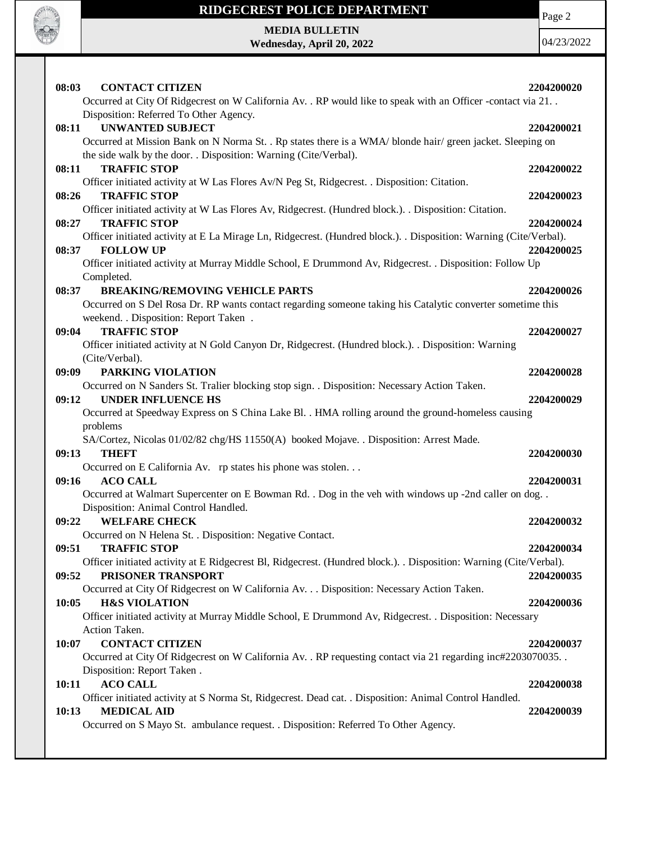

Page 2

**MEDIA BULLETIN Wednesday, April 20, 2022**

| 08:03<br><b>CONTACT CITIZEN</b><br>Occurred at City Of Ridgecrest on W California Av. . RP would like to speak with an Officer -contact via 21. .                                                                                          | 2204200020               |
|--------------------------------------------------------------------------------------------------------------------------------------------------------------------------------------------------------------------------------------------|--------------------------|
| Disposition: Referred To Other Agency.<br><b>UNWANTED SUBJECT</b><br>08:11<br>Occurred at Mission Bank on N Norma St. . Rp states there is a WMA/ blonde hair/ green jacket. Sleeping on                                                   | 2204200021               |
| the side walk by the door. . Disposition: Warning (Cite/Verbal).<br><b>TRAFFIC STOP</b><br>08:11                                                                                                                                           | 2204200022               |
| Officer initiated activity at W Las Flores Av/N Peg St, Ridgecrest. . Disposition: Citation.<br><b>TRAFFIC STOP</b><br>08:26<br>Officer initiated activity at W Las Flores Av, Ridgecrest. (Hundred block.). Disposition: Citation.        | 2204200023               |
| <b>TRAFFIC STOP</b><br>08:27<br>Officer initiated activity at E La Mirage Ln, Ridgecrest. (Hundred block.). Disposition: Warning (Cite/Verbal).<br><b>FOLLOW UP</b><br>08:37                                                               | 2204200024<br>2204200025 |
| Officer initiated activity at Murray Middle School, E Drummond Av, Ridgecrest. . Disposition: Follow Up<br>Completed.                                                                                                                      |                          |
| <b>BREAKING/REMOVING VEHICLE PARTS</b><br>08:37<br>Occurred on S Del Rosa Dr. RP wants contact regarding someone taking his Catalytic converter sometime this<br>weekend. . Disposition: Report Taken .                                    | 2204200026               |
| <b>TRAFFIC STOP</b><br>09:04<br>Officer initiated activity at N Gold Canyon Dr, Ridgecrest. (Hundred block.). . Disposition: Warning                                                                                                       | 2204200027               |
| (Cite/Verbal).<br>PARKING VIOLATION<br>09:09<br>Occurred on N Sanders St. Tralier blocking stop sign. . Disposition: Necessary Action Taken.                                                                                               | 2204200028               |
| 09:12<br><b>UNDER INFLUENCE HS</b><br>Occurred at Speedway Express on S China Lake Bl. . HMA rolling around the ground-homeless causing                                                                                                    | 2204200029               |
| problems<br>SA/Cortez, Nicolas 01/02/82 chg/HS 11550(A) booked Mojave. . Disposition: Arrest Made.<br>09:13<br><b>THEFT</b>                                                                                                                | 2204200030               |
| Occurred on E California Av. rp states his phone was stolen<br><b>ACO CALL</b><br>09:16                                                                                                                                                    | 2204200031               |
| Occurred at Walmart Supercenter on E Bowman Rd. . Dog in the veh with windows up -2nd caller on dog. .<br>Disposition: Animal Control Handled.<br>09:22<br><b>WELFARE CHECK</b>                                                            | 2204200032               |
| Occurred on N Helena St. . Disposition: Negative Contact.<br>09:51<br><b>TRAFFIC STOP</b>                                                                                                                                                  | 2204200034               |
| Officer initiated activity at E Ridgecrest Bl, Ridgecrest. (Hundred block.). Disposition: Warning (Cite/Verbal).<br>PRISONER TRANSPORT<br>09:52<br>Occurred at City Of Ridgecrest on W California Av. Disposition: Necessary Action Taken. | 2204200035               |
| <b>H&amp;S VIOLATION</b><br>10:05<br>Officer initiated activity at Murray Middle School, E Drummond Av, Ridgecrest. . Disposition: Necessary<br>Action Taken.                                                                              | 2204200036               |
| <b>CONTACT CITIZEN</b><br>10:07<br>Occurred at City Of Ridgecrest on W California Av. . RP requesting contact via 21 regarding inc#2203070035. .                                                                                           | 2204200037               |
| Disposition: Report Taken.<br><b>ACO CALL</b><br>10:11<br>Officer initiated activity at S Norma St, Ridgecrest. Dead cat. . Disposition: Animal Control Handled.                                                                           | 2204200038               |
| <b>MEDICAL AID</b><br>10:13<br>Occurred on S Mayo St. ambulance request. . Disposition: Referred To Other Agency.                                                                                                                          | 2204200039               |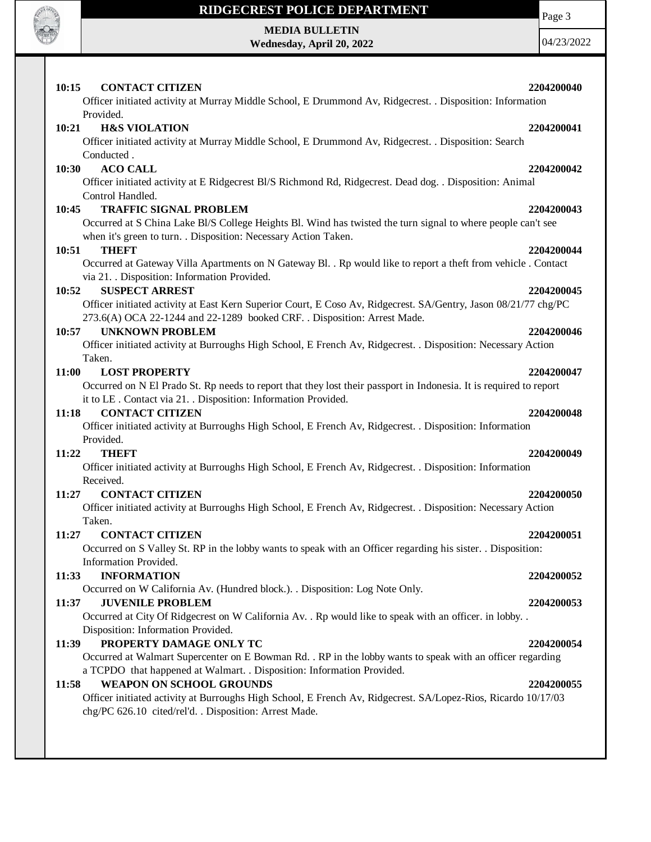

## **MEDIA BULLETIN**

**Wednesday, April 20, 2022**

| 10:15<br><b>CONTACT CITIZEN</b>                                                                                                      | 2204200040 |
|--------------------------------------------------------------------------------------------------------------------------------------|------------|
| Officer initiated activity at Murray Middle School, E Drummond Av, Ridgecrest. . Disposition: Information                            |            |
| Provided.                                                                                                                            |            |
| 10:21<br><b>H&amp;S VIOLATION</b>                                                                                                    | 2204200041 |
| Officer initiated activity at Murray Middle School, E Drummond Av, Ridgecrest. . Disposition: Search                                 |            |
| Conducted.                                                                                                                           |            |
| <b>ACO CALL</b><br>10:30<br>Officer initiated activity at E Ridgecrest Bl/S Richmond Rd, Ridgecrest. Dead dog. . Disposition: Animal | 2204200042 |
| Control Handled.                                                                                                                     |            |
| <b>TRAFFIC SIGNAL PROBLEM</b><br>10:45                                                                                               | 2204200043 |
| Occurred at S China Lake Bl/S College Heights Bl. Wind has twisted the turn signal to where people can't see                         |            |
| when it's green to turn. . Disposition: Necessary Action Taken.                                                                      |            |
| <b>THEFT</b><br>10:51                                                                                                                | 2204200044 |
| Occurred at Gateway Villa Apartments on N Gateway Bl. . Rp would like to report a theft from vehicle . Contact                       |            |
| via 21. . Disposition: Information Provided.                                                                                         |            |
| <b>SUSPECT ARREST</b><br>10:52                                                                                                       | 2204200045 |
| Officer initiated activity at East Kern Superior Court, E Coso Av, Ridgecrest. SA/Gentry, Jason 08/21/77 chg/PC                      |            |
| 273.6(A) OCA 22-1244 and 22-1289 booked CRF. . Disposition: Arrest Made.                                                             |            |
| <b>UNKNOWN PROBLEM</b><br>10:57                                                                                                      | 2204200046 |
| Officer initiated activity at Burroughs High School, E French Av, Ridgecrest. . Disposition: Necessary Action                        |            |
| Taken.                                                                                                                               |            |
| <b>LOST PROPERTY</b><br>11:00                                                                                                        | 2204200047 |
| Occurred on N El Prado St. Rp needs to report that they lost their passport in Indonesia. It is required to report                   |            |
| it to LE. Contact via 21. . Disposition: Information Provided.                                                                       |            |
| <b>CONTACT CITIZEN</b><br>11:18                                                                                                      | 2204200048 |
| Officer initiated activity at Burroughs High School, E French Av, Ridgecrest. . Disposition: Information<br>Provided.                |            |
| <b>THEFT</b><br>11:22                                                                                                                | 2204200049 |
| Officer initiated activity at Burroughs High School, E French Av, Ridgecrest. . Disposition: Information                             |            |
| Received.                                                                                                                            |            |
| <b>CONTACT CITIZEN</b><br>11:27                                                                                                      | 2204200050 |
| Officer initiated activity at Burroughs High School, E French Av, Ridgecrest. . Disposition: Necessary Action                        |            |
| Taken.                                                                                                                               |            |
| <b>CONTACT CITIZEN</b><br>11:27                                                                                                      | 2204200051 |
| Occurred on S Valley St. RP in the lobby wants to speak with an Officer regarding his sister. . Disposition:                         |            |
| Information Provided.                                                                                                                |            |
| <b>INFORMATION</b><br>11:33                                                                                                          | 2204200052 |
| Occurred on W California Av. (Hundred block.). . Disposition: Log Note Only.                                                         |            |
| <b>JUVENILE PROBLEM</b><br>11:37                                                                                                     | 2204200053 |
| Occurred at City Of Ridgecrest on W California Av. . Rp would like to speak with an officer. in lobby. .                             |            |
| Disposition: Information Provided.                                                                                                   |            |
| PROPERTY DAMAGE ONLY TC<br>11:39                                                                                                     | 2204200054 |
| Occurred at Walmart Supercenter on E Bowman Rd. . RP in the lobby wants to speak with an officer regarding                           |            |
| a TCPDO that happened at Walmart. . Disposition: Information Provided.<br><b>WEAPON ON SCHOOL GROUNDS</b>                            |            |
| 11:58<br>Officer initiated activity at Burroughs High School, E French Av, Ridgecrest. SA/Lopez-Rios, Ricardo 10/17/03               | 2204200055 |
| chg/PC 626.10 cited/rel'd. . Disposition: Arrest Made.                                                                               |            |
|                                                                                                                                      |            |
|                                                                                                                                      |            |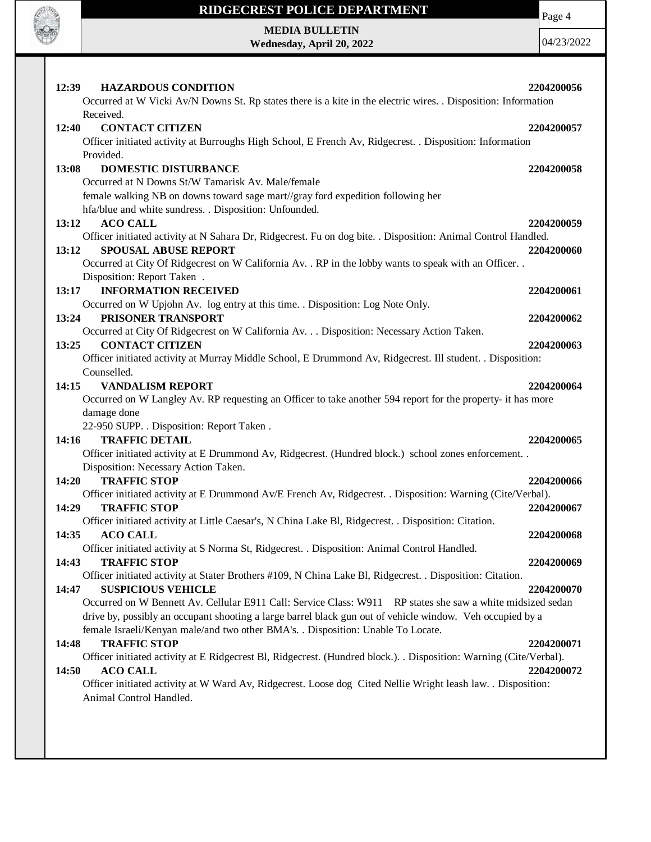

Page 4

**MEDIA BULLETIN Wednesday, April 20, 2022**

| Received.<br>12:40<br><b>CONTACT CITIZEN</b><br>2204200057<br>Officer initiated activity at Burroughs High School, E French Av, Ridgecrest. . Disposition: Information<br>Provided.<br>13:08<br><b>DOMESTIC DISTURBANCE</b><br>2204200058<br>Occurred at N Downs St/W Tamarisk Av. Male/female<br>female walking NB on downs toward sage mart//gray ford expedition following her<br>hfa/blue and white sundress. . Disposition: Unfounded.<br><b>ACO CALL</b><br>2204200059<br>13:12<br>Officer initiated activity at N Sahara Dr, Ridgecrest. Fu on dog bite. . Disposition: Animal Control Handled.<br><b>SPOUSAL ABUSE REPORT</b><br>13:12<br>2204200060<br>Occurred at City Of Ridgecrest on W California Av. . RP in the lobby wants to speak with an Officer. .<br>Disposition: Report Taken.<br><b>INFORMATION RECEIVED</b><br>13:17<br>2204200061<br>Occurred on W Upjohn Av. log entry at this time. . Disposition: Log Note Only.<br>PRISONER TRANSPORT<br>13:24<br>2204200062<br>Occurred at City Of Ridgecrest on W California Av. Disposition: Necessary Action Taken.<br><b>CONTACT CITIZEN</b><br>13:25<br>2204200063<br>Officer initiated activity at Murray Middle School, E Drummond Av, Ridgecrest. Ill student. . Disposition:<br>Counselled.<br>14:15<br><b>VANDALISM REPORT</b><br>2204200064<br>Occurred on W Langley Av. RP requesting an Officer to take another 594 report for the property- it has more<br>damage done<br>22-950 SUPP. . Disposition: Report Taken.<br><b>TRAFFIC DETAIL</b><br>14:16<br>2204200065<br>Officer initiated activity at E Drummond Av, Ridgecrest. (Hundred block.) school zones enforcement. .<br>Disposition: Necessary Action Taken.<br><b>TRAFFIC STOP</b><br>14:20<br>2204200066<br>Officer initiated activity at E Drummond Av/E French Av, Ridgecrest. . Disposition: Warning (Cite/Verbal).<br><b>TRAFFIC STOP</b><br>14:29<br>2204200067<br>Officer initiated activity at Little Caesar's, N China Lake Bl, Ridgecrest. . Disposition: Citation.<br><b>ACO CALL</b><br>14:35<br>2204200068<br>Officer initiated activity at S Norma St, Ridgecrest. . Disposition: Animal Control Handled.<br><b>TRAFFIC STOP</b><br>14:43<br>2204200069<br>Officer initiated activity at Stater Brothers #109, N China Lake Bl, Ridgecrest. . Disposition: Citation.<br>14:47<br><b>SUSPICIOUS VEHICLE</b><br>2204200070<br>Occurred on W Bennett Av. Cellular E911 Call: Service Class: W911 RP states she saw a white midsized sedan<br>drive by, possibly an occupant shooting a large barrel black gun out of vehicle window. Veh occupied by a<br>female Israeli/Kenyan male/and two other BMA's. . Disposition: Unable To Locate.<br><b>TRAFFIC STOP</b><br>14:48<br>2204200071<br>Officer initiated activity at E Ridgecrest Bl, Ridgecrest. (Hundred block.). Disposition: Warning (Cite/Verbal). | 12:39<br><b>HAZARDOUS CONDITION</b><br>Occurred at W Vicki Av/N Downs St. Rp states there is a kite in the electric wires. . Disposition: Information | 2204200056 |
|--------------------------------------------------------------------------------------------------------------------------------------------------------------------------------------------------------------------------------------------------------------------------------------------------------------------------------------------------------------------------------------------------------------------------------------------------------------------------------------------------------------------------------------------------------------------------------------------------------------------------------------------------------------------------------------------------------------------------------------------------------------------------------------------------------------------------------------------------------------------------------------------------------------------------------------------------------------------------------------------------------------------------------------------------------------------------------------------------------------------------------------------------------------------------------------------------------------------------------------------------------------------------------------------------------------------------------------------------------------------------------------------------------------------------------------------------------------------------------------------------------------------------------------------------------------------------------------------------------------------------------------------------------------------------------------------------------------------------------------------------------------------------------------------------------------------------------------------------------------------------------------------------------------------------------------------------------------------------------------------------------------------------------------------------------------------------------------------------------------------------------------------------------------------------------------------------------------------------------------------------------------------------------------------------------------------------------------------------------------------------------------------------------------------------------------------------------------------------------------------------------------------------------------------------------------------------------------------------------------------------------------------------------------------------------------------------------------------------------------------------------------------------------------------------------------------------------------------------------------|-------------------------------------------------------------------------------------------------------------------------------------------------------|------------|
|                                                                                                                                                                                                                                                                                                                                                                                                                                                                                                                                                                                                                                                                                                                                                                                                                                                                                                                                                                                                                                                                                                                                                                                                                                                                                                                                                                                                                                                                                                                                                                                                                                                                                                                                                                                                                                                                                                                                                                                                                                                                                                                                                                                                                                                                                                                                                                                                                                                                                                                                                                                                                                                                                                                                                                                                                                                              |                                                                                                                                                       |            |
|                                                                                                                                                                                                                                                                                                                                                                                                                                                                                                                                                                                                                                                                                                                                                                                                                                                                                                                                                                                                                                                                                                                                                                                                                                                                                                                                                                                                                                                                                                                                                                                                                                                                                                                                                                                                                                                                                                                                                                                                                                                                                                                                                                                                                                                                                                                                                                                                                                                                                                                                                                                                                                                                                                                                                                                                                                                              |                                                                                                                                                       |            |
|                                                                                                                                                                                                                                                                                                                                                                                                                                                                                                                                                                                                                                                                                                                                                                                                                                                                                                                                                                                                                                                                                                                                                                                                                                                                                                                                                                                                                                                                                                                                                                                                                                                                                                                                                                                                                                                                                                                                                                                                                                                                                                                                                                                                                                                                                                                                                                                                                                                                                                                                                                                                                                                                                                                                                                                                                                                              |                                                                                                                                                       |            |
|                                                                                                                                                                                                                                                                                                                                                                                                                                                                                                                                                                                                                                                                                                                                                                                                                                                                                                                                                                                                                                                                                                                                                                                                                                                                                                                                                                                                                                                                                                                                                                                                                                                                                                                                                                                                                                                                                                                                                                                                                                                                                                                                                                                                                                                                                                                                                                                                                                                                                                                                                                                                                                                                                                                                                                                                                                                              |                                                                                                                                                       |            |
|                                                                                                                                                                                                                                                                                                                                                                                                                                                                                                                                                                                                                                                                                                                                                                                                                                                                                                                                                                                                                                                                                                                                                                                                                                                                                                                                                                                                                                                                                                                                                                                                                                                                                                                                                                                                                                                                                                                                                                                                                                                                                                                                                                                                                                                                                                                                                                                                                                                                                                                                                                                                                                                                                                                                                                                                                                                              |                                                                                                                                                       |            |
|                                                                                                                                                                                                                                                                                                                                                                                                                                                                                                                                                                                                                                                                                                                                                                                                                                                                                                                                                                                                                                                                                                                                                                                                                                                                                                                                                                                                                                                                                                                                                                                                                                                                                                                                                                                                                                                                                                                                                                                                                                                                                                                                                                                                                                                                                                                                                                                                                                                                                                                                                                                                                                                                                                                                                                                                                                                              |                                                                                                                                                       |            |
|                                                                                                                                                                                                                                                                                                                                                                                                                                                                                                                                                                                                                                                                                                                                                                                                                                                                                                                                                                                                                                                                                                                                                                                                                                                                                                                                                                                                                                                                                                                                                                                                                                                                                                                                                                                                                                                                                                                                                                                                                                                                                                                                                                                                                                                                                                                                                                                                                                                                                                                                                                                                                                                                                                                                                                                                                                                              |                                                                                                                                                       |            |
|                                                                                                                                                                                                                                                                                                                                                                                                                                                                                                                                                                                                                                                                                                                                                                                                                                                                                                                                                                                                                                                                                                                                                                                                                                                                                                                                                                                                                                                                                                                                                                                                                                                                                                                                                                                                                                                                                                                                                                                                                                                                                                                                                                                                                                                                                                                                                                                                                                                                                                                                                                                                                                                                                                                                                                                                                                                              |                                                                                                                                                       |            |
|                                                                                                                                                                                                                                                                                                                                                                                                                                                                                                                                                                                                                                                                                                                                                                                                                                                                                                                                                                                                                                                                                                                                                                                                                                                                                                                                                                                                                                                                                                                                                                                                                                                                                                                                                                                                                                                                                                                                                                                                                                                                                                                                                                                                                                                                                                                                                                                                                                                                                                                                                                                                                                                                                                                                                                                                                                                              |                                                                                                                                                       |            |
|                                                                                                                                                                                                                                                                                                                                                                                                                                                                                                                                                                                                                                                                                                                                                                                                                                                                                                                                                                                                                                                                                                                                                                                                                                                                                                                                                                                                                                                                                                                                                                                                                                                                                                                                                                                                                                                                                                                                                                                                                                                                                                                                                                                                                                                                                                                                                                                                                                                                                                                                                                                                                                                                                                                                                                                                                                                              |                                                                                                                                                       |            |
|                                                                                                                                                                                                                                                                                                                                                                                                                                                                                                                                                                                                                                                                                                                                                                                                                                                                                                                                                                                                                                                                                                                                                                                                                                                                                                                                                                                                                                                                                                                                                                                                                                                                                                                                                                                                                                                                                                                                                                                                                                                                                                                                                                                                                                                                                                                                                                                                                                                                                                                                                                                                                                                                                                                                                                                                                                                              |                                                                                                                                                       |            |
|                                                                                                                                                                                                                                                                                                                                                                                                                                                                                                                                                                                                                                                                                                                                                                                                                                                                                                                                                                                                                                                                                                                                                                                                                                                                                                                                                                                                                                                                                                                                                                                                                                                                                                                                                                                                                                                                                                                                                                                                                                                                                                                                                                                                                                                                                                                                                                                                                                                                                                                                                                                                                                                                                                                                                                                                                                                              |                                                                                                                                                       |            |
|                                                                                                                                                                                                                                                                                                                                                                                                                                                                                                                                                                                                                                                                                                                                                                                                                                                                                                                                                                                                                                                                                                                                                                                                                                                                                                                                                                                                                                                                                                                                                                                                                                                                                                                                                                                                                                                                                                                                                                                                                                                                                                                                                                                                                                                                                                                                                                                                                                                                                                                                                                                                                                                                                                                                                                                                                                                              |                                                                                                                                                       |            |
|                                                                                                                                                                                                                                                                                                                                                                                                                                                                                                                                                                                                                                                                                                                                                                                                                                                                                                                                                                                                                                                                                                                                                                                                                                                                                                                                                                                                                                                                                                                                                                                                                                                                                                                                                                                                                                                                                                                                                                                                                                                                                                                                                                                                                                                                                                                                                                                                                                                                                                                                                                                                                                                                                                                                                                                                                                                              |                                                                                                                                                       |            |
|                                                                                                                                                                                                                                                                                                                                                                                                                                                                                                                                                                                                                                                                                                                                                                                                                                                                                                                                                                                                                                                                                                                                                                                                                                                                                                                                                                                                                                                                                                                                                                                                                                                                                                                                                                                                                                                                                                                                                                                                                                                                                                                                                                                                                                                                                                                                                                                                                                                                                                                                                                                                                                                                                                                                                                                                                                                              |                                                                                                                                                       |            |
|                                                                                                                                                                                                                                                                                                                                                                                                                                                                                                                                                                                                                                                                                                                                                                                                                                                                                                                                                                                                                                                                                                                                                                                                                                                                                                                                                                                                                                                                                                                                                                                                                                                                                                                                                                                                                                                                                                                                                                                                                                                                                                                                                                                                                                                                                                                                                                                                                                                                                                                                                                                                                                                                                                                                                                                                                                                              |                                                                                                                                                       |            |
|                                                                                                                                                                                                                                                                                                                                                                                                                                                                                                                                                                                                                                                                                                                                                                                                                                                                                                                                                                                                                                                                                                                                                                                                                                                                                                                                                                                                                                                                                                                                                                                                                                                                                                                                                                                                                                                                                                                                                                                                                                                                                                                                                                                                                                                                                                                                                                                                                                                                                                                                                                                                                                                                                                                                                                                                                                                              |                                                                                                                                                       |            |
|                                                                                                                                                                                                                                                                                                                                                                                                                                                                                                                                                                                                                                                                                                                                                                                                                                                                                                                                                                                                                                                                                                                                                                                                                                                                                                                                                                                                                                                                                                                                                                                                                                                                                                                                                                                                                                                                                                                                                                                                                                                                                                                                                                                                                                                                                                                                                                                                                                                                                                                                                                                                                                                                                                                                                                                                                                                              |                                                                                                                                                       |            |
|                                                                                                                                                                                                                                                                                                                                                                                                                                                                                                                                                                                                                                                                                                                                                                                                                                                                                                                                                                                                                                                                                                                                                                                                                                                                                                                                                                                                                                                                                                                                                                                                                                                                                                                                                                                                                                                                                                                                                                                                                                                                                                                                                                                                                                                                                                                                                                                                                                                                                                                                                                                                                                                                                                                                                                                                                                                              |                                                                                                                                                       |            |
|                                                                                                                                                                                                                                                                                                                                                                                                                                                                                                                                                                                                                                                                                                                                                                                                                                                                                                                                                                                                                                                                                                                                                                                                                                                                                                                                                                                                                                                                                                                                                                                                                                                                                                                                                                                                                                                                                                                                                                                                                                                                                                                                                                                                                                                                                                                                                                                                                                                                                                                                                                                                                                                                                                                                                                                                                                                              |                                                                                                                                                       |            |
|                                                                                                                                                                                                                                                                                                                                                                                                                                                                                                                                                                                                                                                                                                                                                                                                                                                                                                                                                                                                                                                                                                                                                                                                                                                                                                                                                                                                                                                                                                                                                                                                                                                                                                                                                                                                                                                                                                                                                                                                                                                                                                                                                                                                                                                                                                                                                                                                                                                                                                                                                                                                                                                                                                                                                                                                                                                              |                                                                                                                                                       |            |
|                                                                                                                                                                                                                                                                                                                                                                                                                                                                                                                                                                                                                                                                                                                                                                                                                                                                                                                                                                                                                                                                                                                                                                                                                                                                                                                                                                                                                                                                                                                                                                                                                                                                                                                                                                                                                                                                                                                                                                                                                                                                                                                                                                                                                                                                                                                                                                                                                                                                                                                                                                                                                                                                                                                                                                                                                                                              |                                                                                                                                                       |            |
|                                                                                                                                                                                                                                                                                                                                                                                                                                                                                                                                                                                                                                                                                                                                                                                                                                                                                                                                                                                                                                                                                                                                                                                                                                                                                                                                                                                                                                                                                                                                                                                                                                                                                                                                                                                                                                                                                                                                                                                                                                                                                                                                                                                                                                                                                                                                                                                                                                                                                                                                                                                                                                                                                                                                                                                                                                                              |                                                                                                                                                       |            |
|                                                                                                                                                                                                                                                                                                                                                                                                                                                                                                                                                                                                                                                                                                                                                                                                                                                                                                                                                                                                                                                                                                                                                                                                                                                                                                                                                                                                                                                                                                                                                                                                                                                                                                                                                                                                                                                                                                                                                                                                                                                                                                                                                                                                                                                                                                                                                                                                                                                                                                                                                                                                                                                                                                                                                                                                                                                              |                                                                                                                                                       |            |
|                                                                                                                                                                                                                                                                                                                                                                                                                                                                                                                                                                                                                                                                                                                                                                                                                                                                                                                                                                                                                                                                                                                                                                                                                                                                                                                                                                                                                                                                                                                                                                                                                                                                                                                                                                                                                                                                                                                                                                                                                                                                                                                                                                                                                                                                                                                                                                                                                                                                                                                                                                                                                                                                                                                                                                                                                                                              |                                                                                                                                                       |            |
|                                                                                                                                                                                                                                                                                                                                                                                                                                                                                                                                                                                                                                                                                                                                                                                                                                                                                                                                                                                                                                                                                                                                                                                                                                                                                                                                                                                                                                                                                                                                                                                                                                                                                                                                                                                                                                                                                                                                                                                                                                                                                                                                                                                                                                                                                                                                                                                                                                                                                                                                                                                                                                                                                                                                                                                                                                                              |                                                                                                                                                       |            |
|                                                                                                                                                                                                                                                                                                                                                                                                                                                                                                                                                                                                                                                                                                                                                                                                                                                                                                                                                                                                                                                                                                                                                                                                                                                                                                                                                                                                                                                                                                                                                                                                                                                                                                                                                                                                                                                                                                                                                                                                                                                                                                                                                                                                                                                                                                                                                                                                                                                                                                                                                                                                                                                                                                                                                                                                                                                              |                                                                                                                                                       |            |
|                                                                                                                                                                                                                                                                                                                                                                                                                                                                                                                                                                                                                                                                                                                                                                                                                                                                                                                                                                                                                                                                                                                                                                                                                                                                                                                                                                                                                                                                                                                                                                                                                                                                                                                                                                                                                                                                                                                                                                                                                                                                                                                                                                                                                                                                                                                                                                                                                                                                                                                                                                                                                                                                                                                                                                                                                                                              |                                                                                                                                                       |            |
|                                                                                                                                                                                                                                                                                                                                                                                                                                                                                                                                                                                                                                                                                                                                                                                                                                                                                                                                                                                                                                                                                                                                                                                                                                                                                                                                                                                                                                                                                                                                                                                                                                                                                                                                                                                                                                                                                                                                                                                                                                                                                                                                                                                                                                                                                                                                                                                                                                                                                                                                                                                                                                                                                                                                                                                                                                                              |                                                                                                                                                       |            |
|                                                                                                                                                                                                                                                                                                                                                                                                                                                                                                                                                                                                                                                                                                                                                                                                                                                                                                                                                                                                                                                                                                                                                                                                                                                                                                                                                                                                                                                                                                                                                                                                                                                                                                                                                                                                                                                                                                                                                                                                                                                                                                                                                                                                                                                                                                                                                                                                                                                                                                                                                                                                                                                                                                                                                                                                                                                              |                                                                                                                                                       |            |
|                                                                                                                                                                                                                                                                                                                                                                                                                                                                                                                                                                                                                                                                                                                                                                                                                                                                                                                                                                                                                                                                                                                                                                                                                                                                                                                                                                                                                                                                                                                                                                                                                                                                                                                                                                                                                                                                                                                                                                                                                                                                                                                                                                                                                                                                                                                                                                                                                                                                                                                                                                                                                                                                                                                                                                                                                                                              |                                                                                                                                                       |            |
|                                                                                                                                                                                                                                                                                                                                                                                                                                                                                                                                                                                                                                                                                                                                                                                                                                                                                                                                                                                                                                                                                                                                                                                                                                                                                                                                                                                                                                                                                                                                                                                                                                                                                                                                                                                                                                                                                                                                                                                                                                                                                                                                                                                                                                                                                                                                                                                                                                                                                                                                                                                                                                                                                                                                                                                                                                                              |                                                                                                                                                       |            |
|                                                                                                                                                                                                                                                                                                                                                                                                                                                                                                                                                                                                                                                                                                                                                                                                                                                                                                                                                                                                                                                                                                                                                                                                                                                                                                                                                                                                                                                                                                                                                                                                                                                                                                                                                                                                                                                                                                                                                                                                                                                                                                                                                                                                                                                                                                                                                                                                                                                                                                                                                                                                                                                                                                                                                                                                                                                              |                                                                                                                                                       |            |
|                                                                                                                                                                                                                                                                                                                                                                                                                                                                                                                                                                                                                                                                                                                                                                                                                                                                                                                                                                                                                                                                                                                                                                                                                                                                                                                                                                                                                                                                                                                                                                                                                                                                                                                                                                                                                                                                                                                                                                                                                                                                                                                                                                                                                                                                                                                                                                                                                                                                                                                                                                                                                                                                                                                                                                                                                                                              |                                                                                                                                                       |            |
|                                                                                                                                                                                                                                                                                                                                                                                                                                                                                                                                                                                                                                                                                                                                                                                                                                                                                                                                                                                                                                                                                                                                                                                                                                                                                                                                                                                                                                                                                                                                                                                                                                                                                                                                                                                                                                                                                                                                                                                                                                                                                                                                                                                                                                                                                                                                                                                                                                                                                                                                                                                                                                                                                                                                                                                                                                                              |                                                                                                                                                       |            |
|                                                                                                                                                                                                                                                                                                                                                                                                                                                                                                                                                                                                                                                                                                                                                                                                                                                                                                                                                                                                                                                                                                                                                                                                                                                                                                                                                                                                                                                                                                                                                                                                                                                                                                                                                                                                                                                                                                                                                                                                                                                                                                                                                                                                                                                                                                                                                                                                                                                                                                                                                                                                                                                                                                                                                                                                                                                              |                                                                                                                                                       |            |
|                                                                                                                                                                                                                                                                                                                                                                                                                                                                                                                                                                                                                                                                                                                                                                                                                                                                                                                                                                                                                                                                                                                                                                                                                                                                                                                                                                                                                                                                                                                                                                                                                                                                                                                                                                                                                                                                                                                                                                                                                                                                                                                                                                                                                                                                                                                                                                                                                                                                                                                                                                                                                                                                                                                                                                                                                                                              |                                                                                                                                                       |            |
|                                                                                                                                                                                                                                                                                                                                                                                                                                                                                                                                                                                                                                                                                                                                                                                                                                                                                                                                                                                                                                                                                                                                                                                                                                                                                                                                                                                                                                                                                                                                                                                                                                                                                                                                                                                                                                                                                                                                                                                                                                                                                                                                                                                                                                                                                                                                                                                                                                                                                                                                                                                                                                                                                                                                                                                                                                                              |                                                                                                                                                       |            |
|                                                                                                                                                                                                                                                                                                                                                                                                                                                                                                                                                                                                                                                                                                                                                                                                                                                                                                                                                                                                                                                                                                                                                                                                                                                                                                                                                                                                                                                                                                                                                                                                                                                                                                                                                                                                                                                                                                                                                                                                                                                                                                                                                                                                                                                                                                                                                                                                                                                                                                                                                                                                                                                                                                                                                                                                                                                              |                                                                                                                                                       |            |
|                                                                                                                                                                                                                                                                                                                                                                                                                                                                                                                                                                                                                                                                                                                                                                                                                                                                                                                                                                                                                                                                                                                                                                                                                                                                                                                                                                                                                                                                                                                                                                                                                                                                                                                                                                                                                                                                                                                                                                                                                                                                                                                                                                                                                                                                                                                                                                                                                                                                                                                                                                                                                                                                                                                                                                                                                                                              |                                                                                                                                                       |            |
|                                                                                                                                                                                                                                                                                                                                                                                                                                                                                                                                                                                                                                                                                                                                                                                                                                                                                                                                                                                                                                                                                                                                                                                                                                                                                                                                                                                                                                                                                                                                                                                                                                                                                                                                                                                                                                                                                                                                                                                                                                                                                                                                                                                                                                                                                                                                                                                                                                                                                                                                                                                                                                                                                                                                                                                                                                                              |                                                                                                                                                       |            |
|                                                                                                                                                                                                                                                                                                                                                                                                                                                                                                                                                                                                                                                                                                                                                                                                                                                                                                                                                                                                                                                                                                                                                                                                                                                                                                                                                                                                                                                                                                                                                                                                                                                                                                                                                                                                                                                                                                                                                                                                                                                                                                                                                                                                                                                                                                                                                                                                                                                                                                                                                                                                                                                                                                                                                                                                                                                              | <b>ACO CALL</b><br>14:50                                                                                                                              | 2204200072 |
| Officer initiated activity at W Ward Av, Ridgecrest. Loose dog Cited Nellie Wright leash law. . Disposition:                                                                                                                                                                                                                                                                                                                                                                                                                                                                                                                                                                                                                                                                                                                                                                                                                                                                                                                                                                                                                                                                                                                                                                                                                                                                                                                                                                                                                                                                                                                                                                                                                                                                                                                                                                                                                                                                                                                                                                                                                                                                                                                                                                                                                                                                                                                                                                                                                                                                                                                                                                                                                                                                                                                                                 |                                                                                                                                                       |            |
| Animal Control Handled.                                                                                                                                                                                                                                                                                                                                                                                                                                                                                                                                                                                                                                                                                                                                                                                                                                                                                                                                                                                                                                                                                                                                                                                                                                                                                                                                                                                                                                                                                                                                                                                                                                                                                                                                                                                                                                                                                                                                                                                                                                                                                                                                                                                                                                                                                                                                                                                                                                                                                                                                                                                                                                                                                                                                                                                                                                      |                                                                                                                                                       |            |
|                                                                                                                                                                                                                                                                                                                                                                                                                                                                                                                                                                                                                                                                                                                                                                                                                                                                                                                                                                                                                                                                                                                                                                                                                                                                                                                                                                                                                                                                                                                                                                                                                                                                                                                                                                                                                                                                                                                                                                                                                                                                                                                                                                                                                                                                                                                                                                                                                                                                                                                                                                                                                                                                                                                                                                                                                                                              |                                                                                                                                                       |            |
|                                                                                                                                                                                                                                                                                                                                                                                                                                                                                                                                                                                                                                                                                                                                                                                                                                                                                                                                                                                                                                                                                                                                                                                                                                                                                                                                                                                                                                                                                                                                                                                                                                                                                                                                                                                                                                                                                                                                                                                                                                                                                                                                                                                                                                                                                                                                                                                                                                                                                                                                                                                                                                                                                                                                                                                                                                                              |                                                                                                                                                       |            |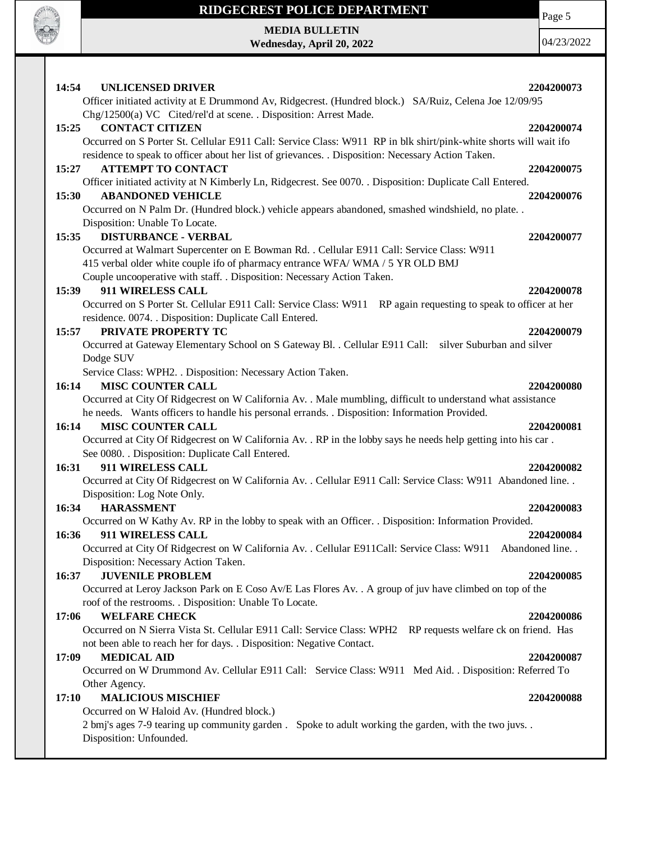

**MEDIA BULLETIN Wednesday, April 20, 2022** Page 5

| <b>UNLICENSED DRIVER</b><br>14:54                                                                                                                                                                                                                                                                                               | 2204200073               |
|---------------------------------------------------------------------------------------------------------------------------------------------------------------------------------------------------------------------------------------------------------------------------------------------------------------------------------|--------------------------|
| Officer initiated activity at E Drummond Av, Ridgecrest. (Hundred block.) SA/Ruiz, Celena Joe 12/09/95<br>Chg/12500(a) VC Cited/rel'd at scene. . Disposition: Arrest Made.                                                                                                                                                     |                          |
| <b>CONTACT CITIZEN</b><br>15:25<br>Occurred on S Porter St. Cellular E911 Call: Service Class: W911 RP in blk shirt/pink-white shorts will wait ifo<br>residence to speak to officer about her list of grievances. . Disposition: Necessary Action Taken.                                                                       | 2204200074               |
| <b>ATTEMPT TO CONTACT</b><br>15:27<br>Officer initiated activity at N Kimberly Ln, Ridgecrest. See 0070. . Disposition: Duplicate Call Entered.                                                                                                                                                                                 | 2204200075               |
| <b>ABANDONED VEHICLE</b><br>15:30<br>Occurred on N Palm Dr. (Hundred block.) vehicle appears abandoned, smashed windshield, no plate. .                                                                                                                                                                                         | 2204200076               |
| Disposition: Unable To Locate.<br><b>DISTURBANCE - VERBAL</b><br>15:35<br>Occurred at Walmart Supercenter on E Bowman Rd. . Cellular E911 Call: Service Class: W911<br>415 verbal older white couple ifo of pharmacy entrance WFA/WMA / 5 YR OLD BMJ<br>Couple uncooperative with staff. . Disposition: Necessary Action Taken. | 2204200077               |
| 911 WIRELESS CALL<br>15:39<br>Occurred on S Porter St. Cellular E911 Call: Service Class: W911 RP again requesting to speak to officer at her<br>residence. 0074. . Disposition: Duplicate Call Entered.                                                                                                                        | 2204200078               |
| 15:57<br>PRIVATE PROPERTY TC<br>Occurred at Gateway Elementary School on S Gateway Bl. . Cellular E911 Call: silver Suburban and silver<br>Dodge SUV<br>Service Class: WPH2. . Disposition: Necessary Action Taken.                                                                                                             | 2204200079               |
| <b>MISC COUNTER CALL</b><br>16:14<br>Occurred at City Of Ridgecrest on W California Av. . Male mumbling, difficult to understand what assistance<br>he needs. Wants officers to handle his personal errands. . Disposition: Information Provided.                                                                               | 2204200080               |
| <b>MISC COUNTER CALL</b><br>16:14<br>Occurred at City Of Ridgecrest on W California Av. . RP in the lobby says he needs help getting into his car.<br>See 0080. . Disposition: Duplicate Call Entered.                                                                                                                          | 2204200081               |
| 911 WIRELESS CALL<br>16:31<br>Occurred at City Of Ridgecrest on W California Av. . Cellular E911 Call: Service Class: W911 Abandoned line. .<br>Disposition: Log Note Only.                                                                                                                                                     | 2204200082               |
| <b>HARASSMENT</b><br>16:34<br>Occurred on W Kathy Av. RP in the lobby to speak with an Officer. . Disposition: Information Provided.<br>16:36<br>911 WIRELESS CALL<br>Occurred at City Of Ridgecrest on W California Av. . Cellular E911Call: Service Class: W911 Abandoned line. .                                             | 2204200083<br>2204200084 |
| Disposition: Necessary Action Taken.<br><b>JUVENILE PROBLEM</b><br>16:37<br>Occurred at Leroy Jackson Park on E Coso Av/E Las Flores Av. . A group of juv have climbed on top of the<br>roof of the restrooms. . Disposition: Unable To Locate.                                                                                 | 2204200085               |
| <b>WELFARE CHECK</b><br>17:06<br>Occurred on N Sierra Vista St. Cellular E911 Call: Service Class: WPH2 RP requests welfare ck on friend. Has<br>not been able to reach her for days. . Disposition: Negative Contact.                                                                                                          | 2204200086               |
| <b>MEDICAL AID</b><br>17:09<br>Occurred on W Drummond Av. Cellular E911 Call: Service Class: W911 Med Aid. . Disposition: Referred To<br>Other Agency.                                                                                                                                                                          | 2204200087               |
| <b>MALICIOUS MISCHIEF</b><br>17:10<br>Occurred on W Haloid Av. (Hundred block.)<br>2 bmj's ages 7-9 tearing up community garden. Spoke to adult working the garden, with the two juvs<br>Disposition: Unfounded.                                                                                                                | 2204200088               |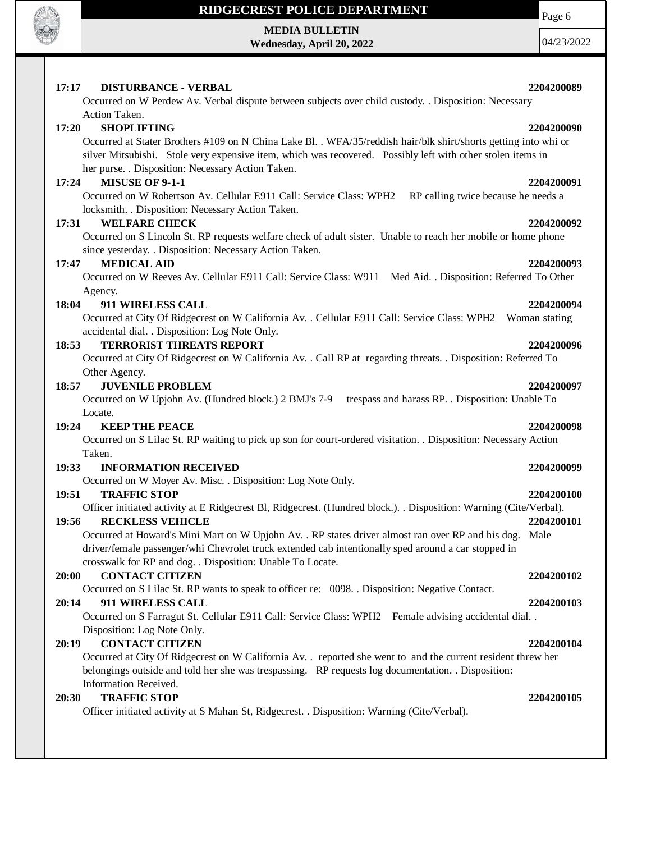

# **MEDIA BULLETIN**

**Wednesday, April 20, 2022**

Page 6

| <b>DISTURBANCE - VERBAL</b><br>17:17                                                                             | 2204200089    |
|------------------------------------------------------------------------------------------------------------------|---------------|
| Occurred on W Perdew Av. Verbal dispute between subjects over child custody. . Disposition: Necessary            |               |
| Action Taken.                                                                                                    |               |
| <b>SHOPLIFTING</b><br>17:20                                                                                      | 2204200090    |
| Occurred at Stater Brothers #109 on N China Lake Bl. . WFA/35/reddish hair/blk shirt/shorts getting into whi or  |               |
| silver Mitsubishi. Stole very expensive item, which was recovered. Possibly left with other stolen items in      |               |
| her purse. . Disposition: Necessary Action Taken.                                                                |               |
| <b>MISUSE OF 9-1-1</b><br>17:24                                                                                  | 2204200091    |
| Occurred on W Robertson Av. Cellular E911 Call: Service Class: WPH2<br>RP calling twice because he needs a       |               |
| locksmith. . Disposition: Necessary Action Taken.                                                                |               |
| <b>WELFARE CHECK</b><br>17:31                                                                                    | 2204200092    |
| Occurred on S Lincoln St. RP requests welfare check of adult sister. Unable to reach her mobile or home phone    |               |
| since yesterday. . Disposition: Necessary Action Taken.                                                          |               |
| <b>MEDICAL AID</b><br>17:47                                                                                      | 2204200093    |
| Occurred on W Reeves Av. Cellular E911 Call: Service Class: W911 Med Aid. . Disposition: Referred To Other       |               |
| Agency.<br>18:04<br>911 WIRELESS CALL                                                                            | 2204200094    |
| Occurred at City Of Ridgecrest on W California Av. . Cellular E911 Call: Service Class: WPH2                     | Woman stating |
| accidental dial. . Disposition: Log Note Only.                                                                   |               |
| <b>TERRORIST THREATS REPORT</b><br>18:53                                                                         | 2204200096    |
| Occurred at City Of Ridgecrest on W California Av. . Call RP at regarding threats. . Disposition: Referred To    |               |
| Other Agency.                                                                                                    |               |
| <b>JUVENILE PROBLEM</b><br>18:57                                                                                 | 2204200097    |
| Occurred on W Upjohn Av. (Hundred block.) 2 BMJ's 7-9 trespass and harass RP. . Disposition: Unable To           |               |
| Locate.                                                                                                          |               |
| 19:24<br><b>KEEP THE PEACE</b>                                                                                   | 2204200098    |
| Occurred on S Lilac St. RP waiting to pick up son for court-ordered visitation. . Disposition: Necessary Action  |               |
| Taken.                                                                                                           |               |
| 19:33<br><b>INFORMATION RECEIVED</b>                                                                             | 2204200099    |
| Occurred on W Moyer Av. Misc. . Disposition: Log Note Only.                                                      |               |
| 19:51<br><b>TRAFFIC STOP</b>                                                                                     | 2204200100    |
| Officer initiated activity at E Ridgecrest Bl, Ridgecrest. (Hundred block.). Disposition: Warning (Cite/Verbal). |               |
| <b>RECKLESS VEHICLE</b><br>19:56                                                                                 | 2204200101    |
| Occurred at Howard's Mini Mart on W Upjohn Av. . RP states driver almost ran over RP and his dog. Male           |               |
| driver/female passenger/whi Chevrolet truck extended cab intentionally sped around a car stopped in              |               |
| crosswalk for RP and dog. . Disposition: Unable To Locate.<br><b>CONTACT CITIZEN</b><br>20:00                    |               |
| Occurred on S Lilac St. RP wants to speak to officer re: 0098. Disposition: Negative Contact.                    | 2204200102    |
| 911 WIRELESS CALL<br>20:14                                                                                       | 2204200103    |
| Occurred on S Farragut St. Cellular E911 Call: Service Class: WPH2 Female advising accidental dial               |               |
| Disposition: Log Note Only.                                                                                      |               |
| <b>CONTACT CITIZEN</b><br>20:19                                                                                  | 2204200104    |
| Occurred at City Of Ridgecrest on W California Av. . reported she went to and the current resident threw her     |               |
| belongings outside and told her she was trespassing. RP requests log documentation. Disposition:                 |               |
| Information Received.                                                                                            |               |
| <b>TRAFFIC STOP</b><br>20:30                                                                                     | 2204200105    |
| Officer initiated activity at S Mahan St, Ridgecrest. . Disposition: Warning (Cite/Verbal).                      |               |
|                                                                                                                  |               |
|                                                                                                                  |               |